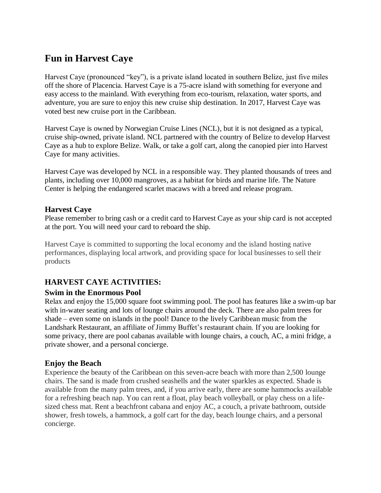# **Fun in Harvest Caye**

Harvest Caye (pronounced "key"), is a private island located in southern Belize, just five miles off the shore of Placencia. Harvest Caye is a 75-acre island with something for everyone and easy access to the mainland. With everything from eco-tourism, relaxation, water sports, and adventure, you are sure to enjoy this new cruise ship destination. In 2017, Harvest Caye was voted best new cruise port in the Caribbean.

Harvest Caye is owned by Norwegian Cruise Lines (NCL), but it is not designed as a typical, cruise ship-owned, private island. NCL partnered with the country of Belize to develop Harvest Caye as a hub to explore Belize. Walk, or take a golf cart, along the canopied pier into Harvest Caye for many activities.

Harvest Caye was developed by NCL in a responsible way. They planted thousands of trees and plants, including over 10,000 mangroves, as a habitat for birds and marine life. The Nature Center is helping the endangered scarlet macaws with a breed and release program.

### **Harvest Caye**

Please remember to bring cash or a credit card to Harvest Caye as your ship card is not accepted at the port. You will need your card to reboard the ship.

Harvest Caye is committed to supporting the local economy and the island hosting native performances, displaying local artwork, and providing space for local businesses to sell their products

# **HARVEST CAYE ACTIVITIES:**

# **Swim in the Enormous Pool**

Relax and enjoy the 15,000 square foot swimming pool. The pool has features like a swim-up bar with in-water seating and lots of lounge chairs around the deck. There are also palm trees for shade – even some on islands in the pool! Dance to the lively Caribbean music from the Landshark Restaurant, an affiliate of Jimmy Buffet's restaurant chain. If you are looking for some privacy, there are pool cabanas available with lounge chairs, a couch, AC, a mini fridge, a private shower, and a personal concierge.

# **Enjoy the Beach**

Experience the beauty of the Caribbean on this seven-acre beach with more than 2,500 lounge chairs. The sand is made from crushed seashells and the water sparkles as expected. Shade is available from the many palm trees, and, if you arrive early, there are some hammocks available for a refreshing beach nap. You can rent a float, play beach volleyball, or play chess on a lifesized chess mat. Rent a beachfront cabana and enjoy AC, a couch, a private bathroom, outside shower, fresh towels, a hammock, a golf cart for the day, beach lounge chairs, and a personal concierge.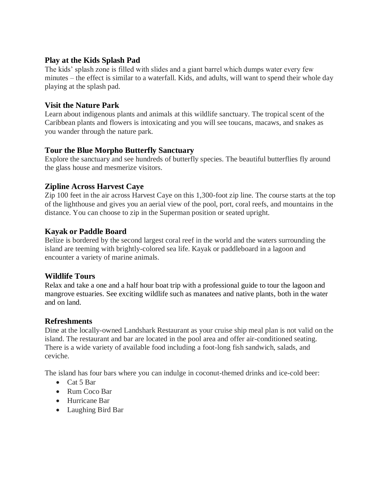### **Play at the Kids Splash Pad**

The kids' splash zone is filled with slides and a giant barrel which dumps water every few minutes – the effect is similar to a waterfall. Kids, and adults, will want to spend their whole day playing at the splash pad.

### **Visit the Nature Park**

Learn about indigenous plants and animals at this wildlife sanctuary. The tropical scent of the Caribbean plants and flowers is intoxicating and you will see toucans, macaws, and snakes as you wander through the nature park.

# **Tour the Blue Morpho Butterfly Sanctuary**

Explore the sanctuary and see hundreds of butterfly species. The beautiful butterflies fly around the glass house and mesmerize visitors.

# **Zipline Across Harvest Caye**

Zip 100 feet in the air across Harvest Caye on this 1,300-foot zip line. The course starts at the top of the lighthouse and gives you an aerial view of the pool, port, coral reefs, and mountains in the distance. You can choose to zip in the Superman position or seated upright.

# **Kayak or Paddle Board**

Belize is bordered by the second largest coral reef in the world and the waters surrounding the island are teeming with brightly-colored sea life. Kayak or paddleboard in a lagoon and encounter a variety of marine animals.

# **Wildlife Tours**

Relax and take a one and a half hour boat trip with a professional guide to tour the lagoon and mangrove estuaries. See exciting wildlife such as manatees and native plants, both in the water and on land.

# **Refreshments**

Dine at the locally-owned Landshark Restaurant as your cruise ship meal plan is not valid on the island. The restaurant and bar are located in the pool area and offer air-conditioned seating. There is a wide variety of available food including a foot-long fish sandwich, salads, and ceviche.

The island has four bars where you can indulge in coconut-themed drinks and ice-cold beer:

- Cat 5 Bar
- Rum Coco Bar
- Hurricane Bar
- Laughing Bird Bar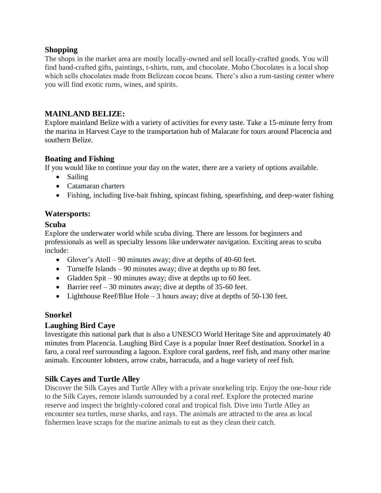### **Shopping**

The shops in the market area are mostly locally-owned and sell locally-crafted goods. You will find hand-crafted gifts, paintings, t-shirts, rum, and chocolate. Moho Chocolates is a local shop which sells chocolates made from Belizean cocoa beans. There's also a rum-tasting center where you will find exotic rums, wines, and spirits.

# **MAINLAND BELIZE:**

Explore mainland Belize with a variety of activities for every taste. Take a 15-minute ferry from the marina in Harvest Caye to the transportation hub of Malacate for tours around Placencia and southern Belize.

### **Boating and Fishing**

If you would like to continue your day on the water, there are a variety of options available.

- Sailing
- Catamaran charters
- Fishing, including live-bait fishing, spincast fishing, spearfishing, and deep-water fishing

# **Watersports:**

### **Scuba**

Explore the underwater world while scuba diving. There are lessons for beginners and professionals as well as specialty lessons like underwater navigation. Exciting areas to scuba include:

- Glover's Atoll 90 minutes away; dive at depths of 40-60 feet.
- Turneffe Islands 90 minutes away; dive at depths up to 80 feet.
- Gladden Spit 90 minutes away; dive at depths up to 60 feet.
- Barrier reef 30 minutes away; dive at depths of 35-60 feet.
- Lighthouse Reef/Blue Hole 3 hours away; dive at depths of 50-130 feet.

# **Snorkel**

# **Laughing Bird Caye**

Investigate this national park that is also a UNESCO World Heritage Site and approximately 40 minutes from Placencia. Laughing Bird Caye is a popular Inner Reef destination. Snorkel in a faro, a coral reef surrounding a lagoon. Explore coral gardens, reef fish, and many other marine animals. Encounter lobsters, arrow crabs, barracuda, and a huge variety of reef fish.

# **Silk Cayes and Turtle Alley**

Discover the Silk Cayes and Turtle Alley with a private snorkeling trip. Enjoy the one-hour ride to the Silk Cayes, remote islands surrounded by a coral reef. Explore the protected marine reserve and inspect the brightly-colored coral and tropical fish. Dive into Turtle Alley an encounter sea turtles, nurse sharks, and rays. The animals are attracted to the area as local fishermen leave scraps for the marine animals to eat as they clean their catch.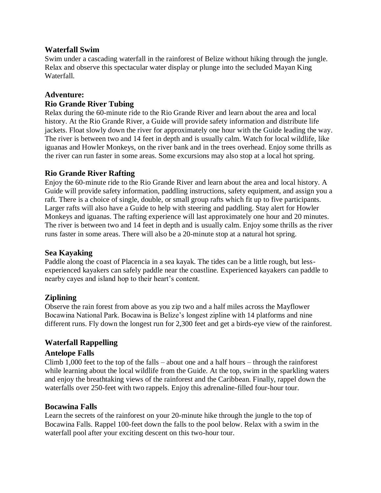#### **Waterfall Swim**

Swim under a cascading waterfall in the rainforest of Belize without hiking through the jungle. Relax and observe this spectacular water display or plunge into the secluded Mayan King Waterfall.

# **Adventure: Rio Grande River Tubing**

Relax during the 60-minute ride to the Rio Grande River and learn about the area and local history. At the Rio Grande River, a Guide will provide safety information and distribute life jackets. Float slowly down the river for approximately one hour with the Guide leading the way. The river is between two and 14 feet in depth and is usually calm. Watch for local wildlife, like iguanas and Howler Monkeys, on the river bank and in the trees overhead. Enjoy some thrills as the river can run faster in some areas. Some excursions may also stop at a local hot spring.

# **Rio Grande River Rafting**

Enjoy the 60-minute ride to the Rio Grande River and learn about the area and local history. A Guide will provide safety information, paddling instructions, safety equipment, and assign you a raft. There is a choice of single, double, or small group rafts which fit up to five participants. Larger rafts will also have a Guide to help with steering and paddling. Stay alert for Howler Monkeys and iguanas. The rafting experience will last approximately one hour and 20 minutes. The river is between two and 14 feet in depth and is usually calm. Enjoy some thrills as the river runs faster in some areas. There will also be a 20-minute stop at a natural hot spring.

# **Sea Kayaking**

Paddle along the coast of Placencia in a sea kayak. The tides can be a little rough, but lessexperienced kayakers can safely paddle near the coastline. Experienced kayakers can paddle to nearby cayes and island hop to their heart's content.

# **Ziplining**

Observe the rain forest from above as you zip two and a half miles across the Mayflower Bocawina National Park. Bocawina is Belize's longest zipline with 14 platforms and nine different runs. Fly down the longest run for 2,300 feet and get a birds-eye view of the rainforest.

# **Waterfall Rappelling**

#### **Antelope Falls**

Climb 1,000 feet to the top of the falls – about one and a half hours – through the rainforest while learning about the local wildlife from the Guide. At the top, swim in the sparkling waters and enjoy the breathtaking views of the rainforest and the Caribbean. Finally, rappel down the waterfalls over 250-feet with two rappels. Enjoy this adrenaline-filled four-hour tour.

#### **Bocawina Falls**

Learn the secrets of the rainforest on your 20-minute hike through the jungle to the top of Bocawina Falls. Rappel 100-feet down the falls to the pool below. Relax with a swim in the waterfall pool after your exciting descent on this two-hour tour.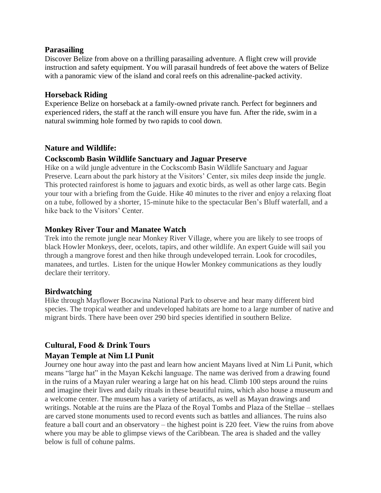#### **Parasailing**

Discover Belize from above on a thrilling parasailing adventure. A flight crew will provide instruction and safety equipment. You will parasail hundreds of feet above the waters of Belize with a panoramic view of the island and coral reefs on this adrenaline-packed activity.

#### **Horseback Riding**

Experience Belize on horseback at a family-owned private ranch. Perfect for beginners and experienced riders, the staff at the ranch will ensure you have fun. After the ride, swim in a natural swimming hole formed by two rapids to cool down.

#### **Nature and Wildlife:**

#### **Cockscomb Basin Wildlife Sanctuary and Jaguar Preserve**

Hike on a wild jungle adventure in the Cockscomb Basin Wildlife Sanctuary and Jaguar Preserve. Learn about the park history at the Visitors' Center, six miles deep inside the jungle. This protected rainforest is home to jaguars and exotic birds, as well as other large cats. Begin your tour with a briefing from the Guide. Hike 40 minutes to the river and enjoy a relaxing float on a tube, followed by a shorter, 15-minute hike to the spectacular Ben's Bluff waterfall, and a hike back to the Visitors' Center.

#### **Monkey River Tour and Manatee Watch**

Trek into the remote jungle near Monkey River Village, where you are likely to see troops of black Howler Monkeys, deer, ocelots, tapirs, and other wildlife. An expert Guide will sail you through a mangrove forest and then hike through undeveloped terrain. Look for crocodiles, manatees, and turtles. Listen for the unique Howler Monkey communications as they loudly declare their territory.

#### **Birdwatching**

Hike through Mayflower Bocawina National Park to observe and hear many different bird species. The tropical weather and undeveloped habitats are home to a large number of native and migrant birds. There have been over 290 bird species identified in southern Belize.

#### **Cultural, Food & Drink Tours**

#### **Mayan Temple at Nim LI Punit**

Journey one hour away into the past and learn how ancient Mayans lived at Nim Li Punit, which means "large hat" in the Mayan Kekchi language. The name was derived from a drawing found in the ruins of a Mayan ruler wearing a large hat on his head. Climb 100 steps around the ruins and imagine their lives and daily rituals in these beautiful ruins, which also house a museum and a welcome center. The museum has a variety of artifacts, as well as Mayan drawings and writings. Notable at the ruins are the Plaza of the Royal Tombs and Plaza of the Stellae – stellaes are carved stone monuments used to record events such as battles and alliances. The ruins also feature a ball court and an observatory – the highest point is 220 feet. View the ruins from above where you may be able to glimpse views of the Caribbean. The area is shaded and the valley below is full of cohune palms.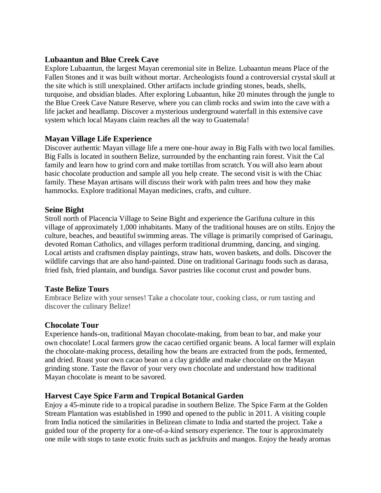### **[Lubaantun and Blue Creek Cave](https://www.viator.com/tours/Placencia/Lubaantun-and-Blue-Creek-Cave/d23725-43876P19)**

Explore Lubaantun, the largest Mayan ceremonial site in Belize. Lubaantun means Place of the Fallen Stones and it was built without mortar. Archeologists found a controversial crystal skull at the site which is still unexplained. Other artifacts include grinding stones, beads, shells, turquoise, and obsidian blades. After exploring Lubaantun, hike 20 minutes through the jungle to the Blue Creek Cave Nature Reserve, where you can climb rocks and swim into the cave with a life jacket and headlamp. Discover a mysterious underground waterfall in this extensive cave system which local Mayans claim reaches all the way to Guatemala!

### **Mayan Village Life Experience**

Discover authentic Mayan village life a mere one-hour away in Big Falls with two local families. Big Falls is located in southern Belize, surrounded by the enchanting rain forest. Visit the Cal family and learn how to grind corn and make tortillas from scratch. You will also learn about basic chocolate production and sample all you help create. The second visit is with the Chiac family. These Mayan artisans will discuss their work with palm trees and how they make hammocks. Explore traditional Mayan medicines, crafts, and culture.

#### **Seine Bight**

Stroll north of Placencia Village to Seine Bight and experience the Garifuna culture in this village of approximately 1,000 inhabitants. Many of the traditional houses are on stilts. Enjoy the culture, beaches, and beautiful swimming areas. The village is primarily comprised of Garinagu, devoted Roman Catholics, and villages perform traditional drumming, dancing, and singing. Local artists and craftsmen display paintings, straw hats, woven baskets, and dolls. Discover the wildlife carvings that are also hand-painted. Dine on traditional Garinagu foods such as darasa, fried fish, fried plantain, and bundiga. Savor pastries like coconut crust and powder buns.

#### **Taste Belize Tours**

Embrace Belize with your senses! Take a chocolate tour, cooking class, or rum tasting and discover the culinary Belize!

#### **Chocolate Tour**

Experience hands-on, traditional Mayan chocolate-making, from bean to bar, and make your own chocolate! Local farmers grow the cacao certified organic beans. A local farmer will explain the chocolate-making process, detailing how the beans are extracted from the pods, fermented, and dried. Roast your own cacao bean on a clay griddle and make chocolate on the Mayan grinding stone. Taste the flavor of your very own chocolate and understand how traditional Mayan chocolate is meant to be savored.

#### **Harvest Caye Spice Farm and Tropical Botanical Garden**

Enjoy a 45-minute ride to a tropical paradise in southern Belize. The Spice Farm at the Golden Stream Plantation was established in 1990 and opened to the public in 2011. A visiting couple from India noticed the similarities in Belizean climate to India and started the project. Take a guided tour of the property for a one-of-a-kind sensory experience. The tour is approximately one mile with stops to taste exotic fruits such as jackfruits and mangos. Enjoy the heady aromas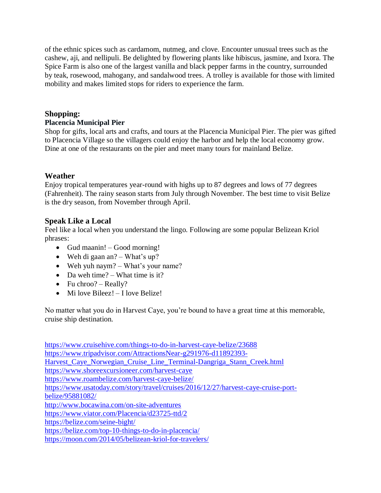of the ethnic spices such as cardamom, nutmeg, and clove. Encounter unusual trees such as the cashew, aji, and nellipuli. Be delighted by flowering plants like hibiscus, jasmine, and Ixora. The Spice Farm is also one of the largest vanilla and black pepper farms in the country, surrounded by teak, rosewood, mahogany, and sandalwood trees. A trolley is available for those with limited mobility and makes limited stops for riders to experience the farm.

### **Shopping:**

#### **Placencia Municipal Pier**

Shop for gifts, local arts and crafts, and tours at the Placencia Municipal Pier. The pier was gifted to Placencia Village so the villagers could enjoy the harbor and help the local economy grow. Dine at one of the restaurants on the pier and meet many tours for mainland Belize.

### **Weather**

Enjoy tropical temperatures year-round with highs up to 87 degrees and lows of 77 degrees (Fahrenheit). The rainy season starts from July through November. The best time to visit Belize is the dry season, from November through April.

### **Speak Like a Local**

Feel like a local when you understand the lingo. Following are some popular Belizean Kriol phrases:

- Gud maanin! Good morning!
- Weh di gaan an? What's up?
- Weh yuh naym? What's your name?
- Da weh time? What time is it?
- Fu chroo? Really?
- Mi love Bileez! I love Belize!

No matter what you do in Harvest Caye, you're bound to have a great time at this memorable, cruise ship destination.

<https://www.cruisehive.com/things-to-do-in-harvest-caye-belize/23688> [https://www.tripadvisor.com/AttractionsNear-g291976-d11892393-](https://www.tripadvisor.com/AttractionsNear-g291976-d11892393-Harvest_Caye_Norwegian_Cruise_Line_Terminal-Dangriga_Stann_Creek.html) [Harvest\\_Caye\\_Norwegian\\_Cruise\\_Line\\_Terminal-Dangriga\\_Stann\\_Creek.html](https://www.tripadvisor.com/AttractionsNear-g291976-d11892393-Harvest_Caye_Norwegian_Cruise_Line_Terminal-Dangriga_Stann_Creek.html) <https://www.shoreexcursioneer.com/harvest-caye> <https://www.roambelize.com/harvest-caye-belize/> [https://www.usatoday.com/story/travel/cruises/2016/12/27/harvest-caye-cruise-port](https://www.usatoday.com/story/travel/cruises/2016/12/27/harvest-caye-cruise-port-belize/95881082/)[belize/95881082/](https://www.usatoday.com/story/travel/cruises/2016/12/27/harvest-caye-cruise-port-belize/95881082/) <http://www.bocawina.com/on-site-adventures> <https://www.viator.com/Placencia/d23725-ttd/2> <https://belize.com/seine-bight/> <https://belize.com/top-10-things-to-do-in-placencia/> <https://moon.com/2014/05/belizean-kriol-for-travelers/>